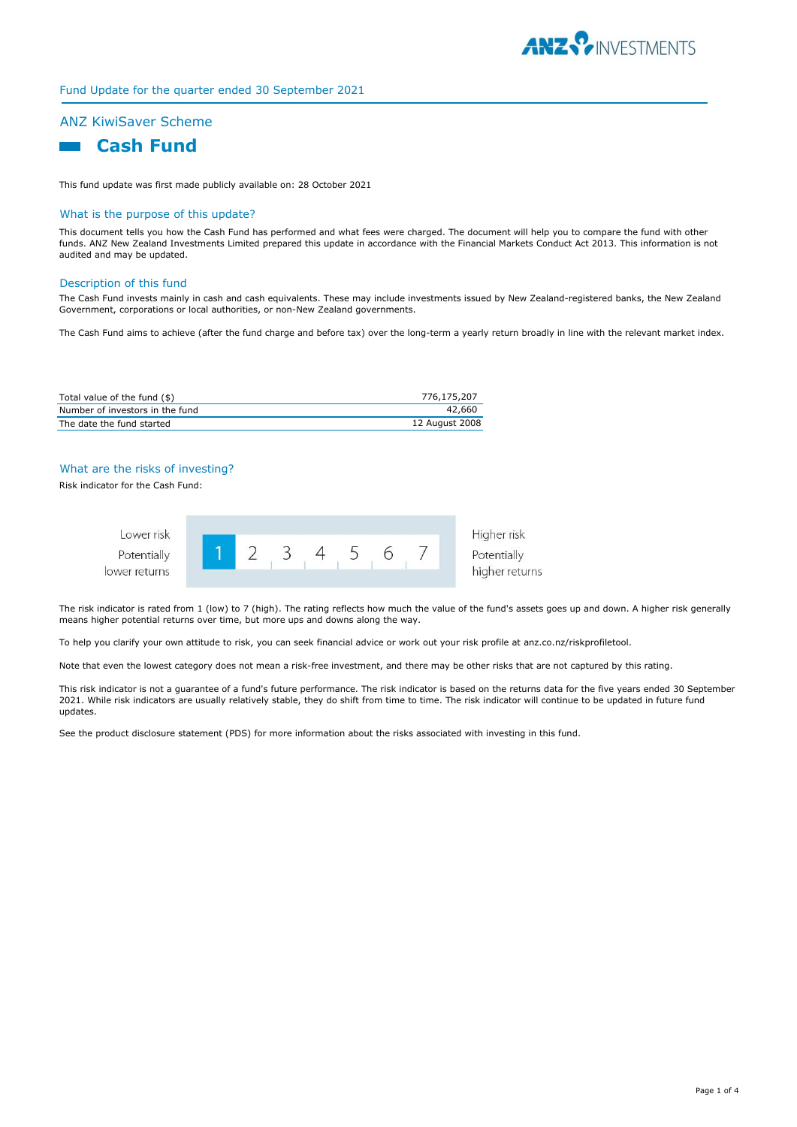

# Fund Update for the quarter ended 30 September 2021

# ANZ KiwiSaver Scheme

# **Cash Fund**

This fund update was first made publicly available on: 28 October 2021

#### What is the purpose of this update?

This document tells you how the Cash Fund has performed and what fees were charged. The document will help you to compare the fund with other funds. ANZ New Zealand Investments Limited prepared this update in accordance with the Financial Markets Conduct Act 2013. This information is not audited and may be updated.

### Description of this fund

The Cash Fund invests mainly in cash and cash equivalents. These may include investments issued by New Zealand-registered banks, the New Zealand Government, corporations or local authorities, or non-New Zealand governments.

The Cash Fund aims to achieve (after the fund charge and before tax) over the long-term a yearly return broadly in line with the relevant market index.

| Total value of the fund $(\$)$  | 776,175,207    |
|---------------------------------|----------------|
| Number of investors in the fund | 42.660         |
| The date the fund started       | 12 August 2008 |

#### What are the risks of investing?

Risk indicator for the Cash Fund:



The risk indicator is rated from 1 (low) to 7 (high). The rating reflects how much the value of the fund's assets goes up and down. A higher risk generally means higher potential returns over time, but more ups and downs along the way.

To help you clarify your own attitude to risk, you can seek financial advice or work out your risk profile at anz.co.nz/riskprofiletool.

Note that even the lowest category does not mean a risk-free investment, and there may be other risks that are not captured by this rating.

This risk indicator is not a guarantee of a fund's future performance. The risk indicator is based on the returns data for the five years ended 30 September 2021. While risk indicators are usually relatively stable, they do shift from time to time. The risk indicator will continue to be updated in future fund updates.

See the product disclosure statement (PDS) for more information about the risks associated with investing in this fund.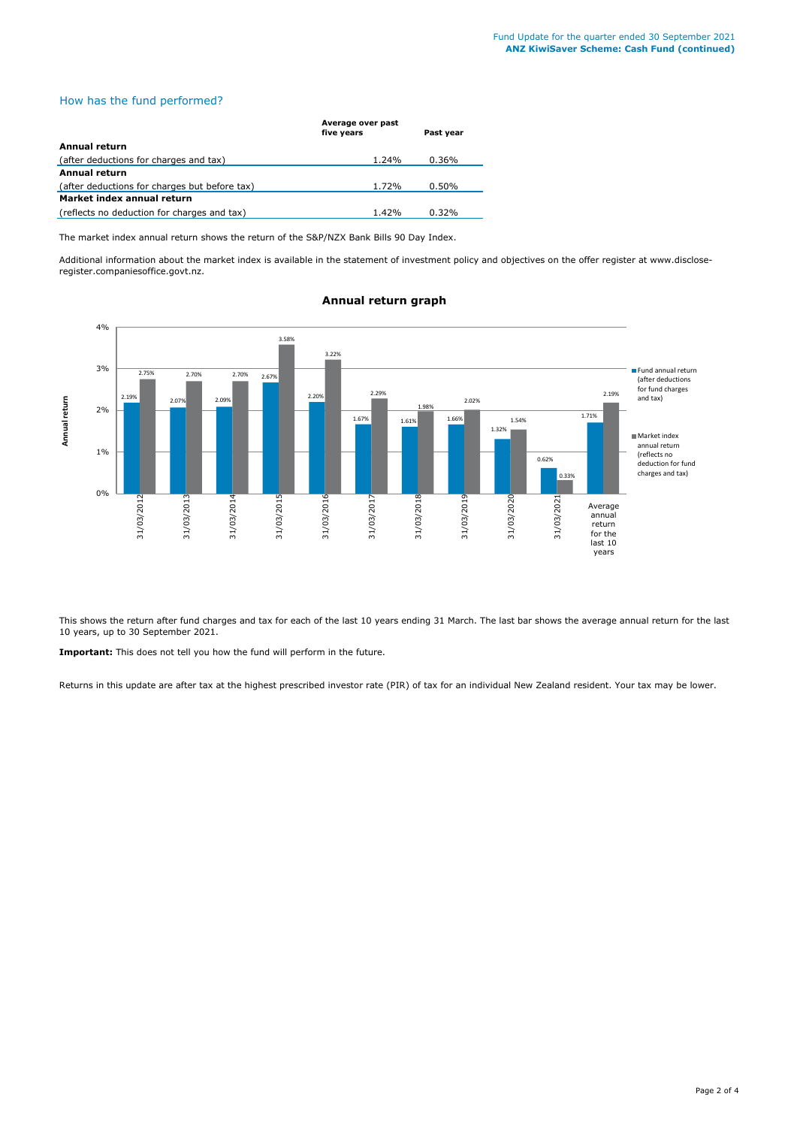# How has the fund performed?

| Average over past<br>five years | Past year |
|---------------------------------|-----------|
|                                 |           |
| 1.24%                           | 0.36%     |
|                                 |           |
| 1.72%                           | 0.50%     |
|                                 |           |
| 1.42%                           | 0.32%     |
|                                 |           |

The market index annual return shows the return of the S&P/NZX Bank Bills 90 Day Index.

Additional information about the market index is available in the statement of investment policy and objectives on the offer register at www.discloseregister.companiesoffice.govt.nz.



# **Annual return graph**

This shows the return after fund charges and tax for each of the last 10 years ending 31 March. The last bar shows the average annual return for the last 10 years, up to 30 September 2021.

**Important:** This does not tell you how the fund will perform in the future.

Returns in this update are after tax at the highest prescribed investor rate (PIR) of tax for an individual New Zealand resident. Your tax may be lower.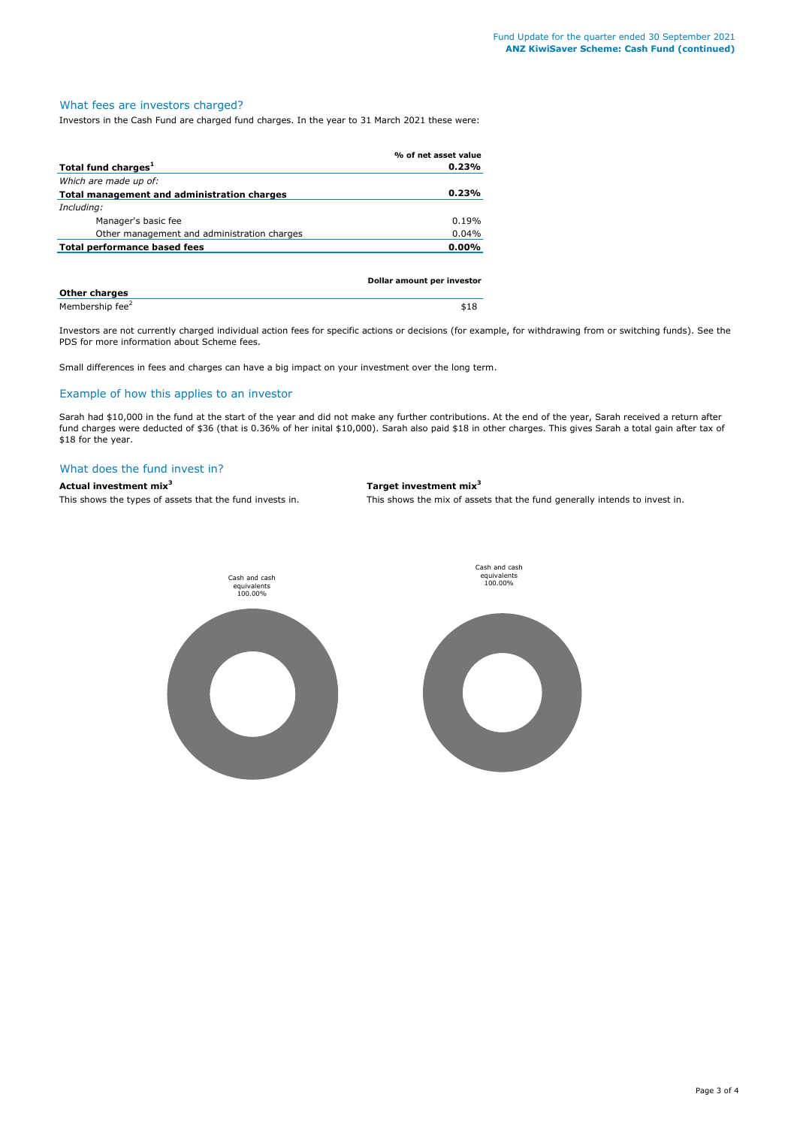#### What fees are investors charged?

Investors in the Cash Fund are charged fund charges. In the year to 31 March 2021 these were:

|                                             | % of net asset value       |
|---------------------------------------------|----------------------------|
| Total fund charges <sup>1</sup>             | 0.23%                      |
| Which are made up of:                       |                            |
| Total management and administration charges | 0.23%                      |
| Including:                                  |                            |
| Manager's basic fee                         | 0.19%                      |
| Other management and administration charges | 0.04%                      |
| Total performance based fees                | 0.00%                      |
|                                             |                            |
|                                             | Dollar amount per investor |
|                                             |                            |

| <b>Other charges</b>        |      |
|-----------------------------|------|
| Membership fee <sup>2</sup> | \$18 |

Investors are not currently charged individual action fees for specific actions or decisions (for example, for withdrawing from or switching funds). See the PDS for more information about Scheme fees.

Small differences in fees and charges can have a big impact on your investment over the long term.

#### Example of how this applies to an investor

Sarah had \$10,000 in the fund at the start of the year and did not make any further contributions. At the end of the year, Sarah received a return after fund charges were deducted of \$36 (that is 0.36% of her inital \$10,000). Sarah also paid \$18 in other charges. This gives Sarah a total gain after tax of \$18 for the year.

# What does the fund invest in?

**Actual investment mix<sup>3</sup> Target investment mix<sup>3</sup>**

This shows the types of assets that the fund invests in. This shows the mix of assets that the fund generally intends to invest in.